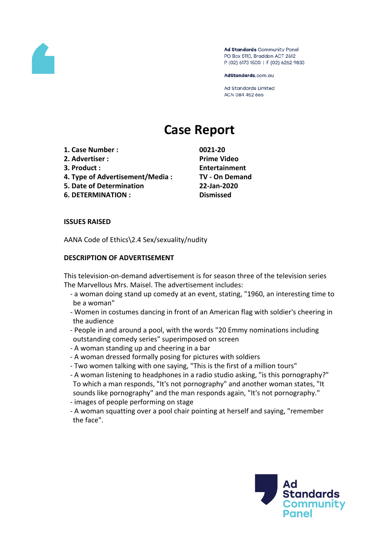

Ad Standards Community Panel PO Box 5110, Braddon ACT 2612 P (02) 6173 1500 | F (02) 6262 9833

AdStandards.com.au

**Ad Standards Limited** ACN 084 452 666

# **Case Report**

- **1. Case Number : 0021-20**
- **2. Advertiser : Prime Video**
- 
- **4. Type of Advertisement/Media : TV - On Demand**
- **5. Date of Determination 22-Jan-2020**
- **6. DETERMINATION : Dismissed**

**3. Product : Entertainment**

#### **ISSUES RAISED**

AANA Code of Ethics\2.4 Sex/sexuality/nudity

#### **DESCRIPTION OF ADVERTISEMENT**

This television-on-demand advertisement is for season three of the television series The Marvellous Mrs. Maisel. The advertisement includes:

- a woman doing stand up comedy at an event, stating, "1960, an interesting time to be a woman"
- Women in costumes dancing in front of an American flag with soldier's cheering in the audience
- People in and around a pool, with the words "20 Emmy nominations including outstanding comedy series" superimposed on screen
- A woman standing up and cheering in a bar
- A woman dressed formally posing for pictures with soldiers
- Two women talking with one saying, "This is the first of a million tours"
- A woman listening to headphones in a radio studio asking, "is this pornography?" To which a man responds, "It's not pornography" and another woman states, "It sounds like pornography" and the man responds again, "It's not pornography."
- images of people performing on stage
- A woman squatting over a pool chair pointing at herself and saying, "remember the face".

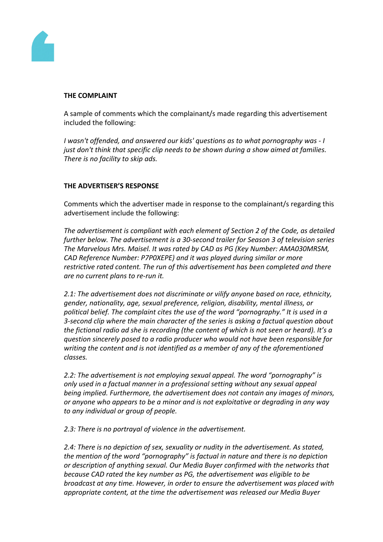

#### **THE COMPLAINT**

A sample of comments which the complainant/s made regarding this advertisement included the following:

*I wasn't offended, and answered our kids' questions as to what pornography was - I just don't think that specific clip needs to be shown during a show aimed at families. There is no facility to skip ads.*

## **THE ADVERTISER'S RESPONSE**

Comments which the advertiser made in response to the complainant/s regarding this advertisement include the following:

*The advertisement is compliant with each element of Section 2 of the Code, as detailed further below. The advertisement is a 30-second trailer for Season 3 of television series The Marvelous Mrs. Maisel. It was rated by CAD as PG (Key Number: AMA030MRSM, CAD Reference Number: P7P0XEPE) and it was played during similar or more restrictive rated content. The run of this advertisement has been completed and there are no current plans to re-run it.*

*2.1: The advertisement does not discriminate or vilify anyone based on race, ethnicity, gender, nationality, age, sexual preference, religion, disability, mental illness, or political belief. The complaint cites the use of the word "pornography." It is used in a 3-second clip where the main character of the series is asking a factual question about the fictional radio ad she is recording (the content of which is not seen or heard). It's a question sincerely posed to a radio producer who would not have been responsible for writing the content and is not identified as a member of any of the aforementioned classes.*

*2.2: The advertisement is not employing sexual appeal. The word "pornography" is only used in a factual manner in a professional setting without any sexual appeal being implied. Furthermore, the advertisement does not contain any images of minors, or anyone who appears to be a minor and is not exploitative or degrading in any way to any individual or group of people.*

*2.3: There is no portrayal of violence in the advertisement.*

*2.4: There is no depiction of sex, sexuality or nudity in the advertisement. As stated, the mention of the word "pornography" is factual in nature and there is no depiction or description of anything sexual. Our Media Buyer confirmed with the networks that because CAD rated the key number as PG, the advertisement was eligible to be broadcast at any time. However, in order to ensure the advertisement was placed with appropriate content, at the time the advertisement was released our Media Buyer*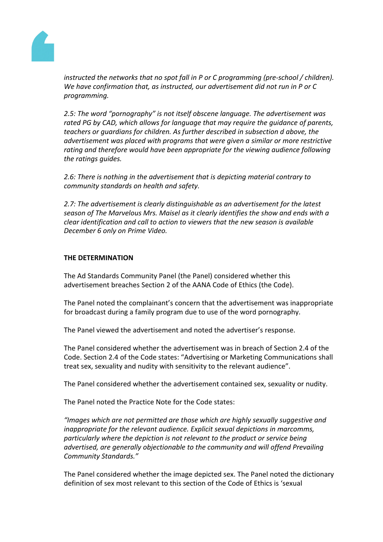

*instructed the networks that no spot fall in P or C programming (pre-school / children). We have confirmation that, as instructed, our advertisement did not run in P or C programming.*

*2.5: The word "pornography" is not itself obscene language. The advertisement was rated PG by CAD, which allows for language that may require the guidance of parents, teachers or guardians for children. As further described in subsection d above, the advertisement was placed with programs that were given a similar or more restrictive rating and therefore would have been appropriate for the viewing audience following the ratings guides.*

*2.6: There is nothing in the advertisement that is depicting material contrary to community standards on health and safety.*

*2.7: The advertisement is clearly distinguishable as an advertisement for the latest season of The Marvelous Mrs. Maisel as it clearly identifies the show and ends with a clear identification and call to action to viewers that the new season is available December 6 only on Prime Video.*

### **THE DETERMINATION**

The Ad Standards Community Panel (the Panel) considered whether this advertisement breaches Section 2 of the AANA Code of Ethics (the Code).

The Panel noted the complainant's concern that the advertisement was inappropriate for broadcast during a family program due to use of the word pornography.

The Panel viewed the advertisement and noted the advertiser's response.

The Panel considered whether the advertisement was in breach of Section 2.4 of the Code. Section 2.4 of the Code states: "Advertising or Marketing Communications shall treat sex, sexuality and nudity with sensitivity to the relevant audience".

The Panel considered whether the advertisement contained sex, sexuality or nudity.

The Panel noted the Practice Note for the Code states:

*"Images which are not permitted are those which are highly sexually suggestive and inappropriate for the relevant audience. Explicit sexual depictions in marcomms, particularly where the depiction is not relevant to the product or service being advertised, are generally objectionable to the community and will offend Prevailing Community Standards."*

The Panel considered whether the image depicted sex. The Panel noted the dictionary definition of sex most relevant to this section of the Code of Ethics is 'sexual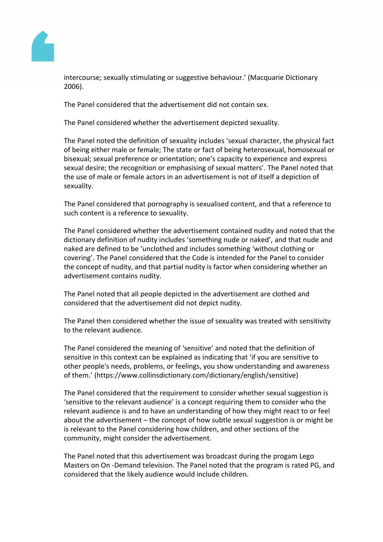

intercourse; sexually stimulating or suggestive behaviour.' (Macquarie Dictionary 2006).

The Panel considered that the advertisement did not contain sex.

The Panel considered whether the advertisement depicted sexuality.

The Panel noted the definition of sexuality includes 'sexual character, the physical fact of being either male or female; The state or fact of being heterosexual, homosexual or bisexual; sexual preference or orientation; one's capacity to experience and express sexual desire; the recognition or emphasising of sexual matters'. The Panel noted that the use of male or female actors in an advertisement is not of itself a depiction of sexuality.

The Panel considered that pornography is sexualised content, and that a reference to such content is a reference to sexuality.

The Panel considered whether the advertisement contained nudity and noted that the dictionary definition of nudity includes 'something nude or naked', and that nude and naked are defined to be 'unclothed and includes something 'without clothing or covering'. The Panel considered that the Code is intended for the Panel to consider the concept of nudity, and that partial nudity is factor when considering whether an advertisement contains nudity.

The Panel noted that all people depicted in the advertisement are clothed and considered that the advertisement did not depict nudity.

The Panel then considered whether the issue of sexuality was treated with sensitivity to the relevant audience.

The Panel considered the meaning of 'sensitive' and noted that the definition of sensitive in this context can be explained as indicating that 'if you are sensitive to other people's needs, problems, or feelings, you show understanding and awareness of them.' (https://www.collinsdictionary.com/dictionary/english/sensitive)

The Panel considered that the requirement to consider whether sexual suggestion is 'sensitive to the relevant audience' is a concept requiring them to consider who the relevant audience is and to have an understanding of how they might react to or feel about the advertisement – the concept of how subtle sexual suggestion is or might be is relevant to the Panel considering how children, and other sections of the community, might consider the advertisement.

The Panel noted that this advertisement was broadcast during the progam Lego Masters on On -Demand television. The Panel noted that the program is rated PG, and considered that the likely audience would include children.